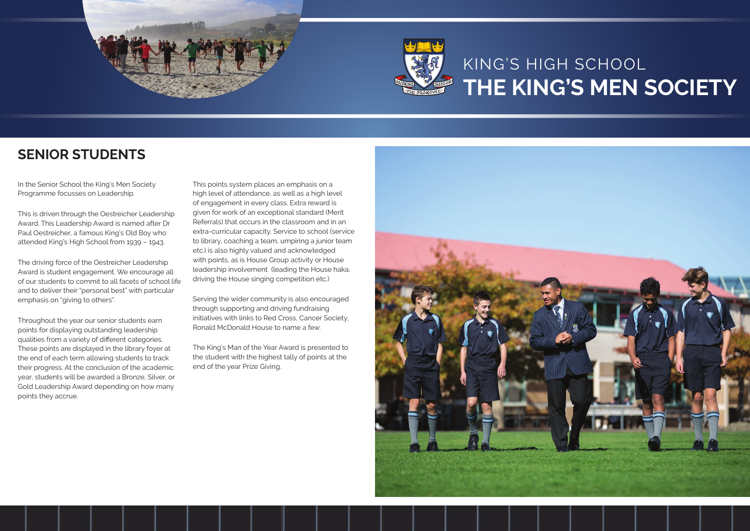



# KING'S HIGH SCHOOL **THE KING'S MEN SOCIETY**

In the Senior School the King's Men Society Programme focusses on Leadership.

This is driven through the Oestreicher Leadership Award. This Leadership Award is named after Dr Paul Oestreicher, a famous King's Old Boy who attended King's High School from 1939 – 1943.

The driving force of the Oestreicher Leadership Award is student engagement. We encourage all of our students to commit to all facets of school life and to deliver their "personal best" with particular emphasis on "giving to others".

Throughout the year our senior students earn points for displaying outstanding leadership qualities from a variety of different categories. These points are displayed in the library foyer at the end of each term allowing students to track their progress. At the conclusion of the academic year, students will be awarded a Bronze, Silver, or Gold Leadership Award depending on how many points they accrue.

This points system places an emphasis on a high level of attendance, as well as a high level of engagement in every class. Extra reward is given for work of an exceptional standard (Merit Referrals) that occurs in the classroom and in an extra-curricular capacity. Service to school (service to library, coaching a team, umpiring a junior team etc.) is also highly valued and acknowledged with points, as is House Group activity or House leadership involvement (leading the House haka, driving the House singing competition etc.)

Serving the wider community is also encouraged through supporting and driving fundraising initiatives with links to Red Cross, Cancer Society, Ronald McDonald House to name a few.

The King's Man of the Year Award is presented to the student with the highest tally of points at the end of the year Prize Giving.



## **SENIOR STUDENTS**